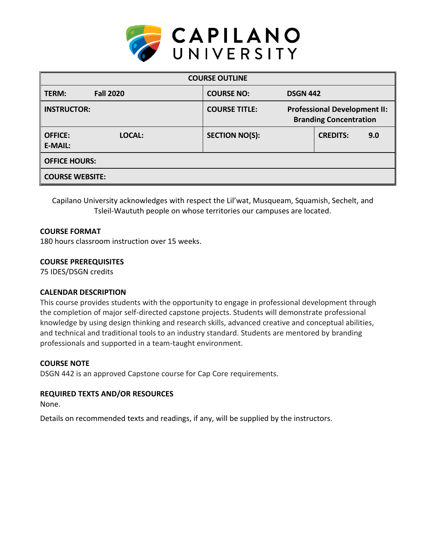

| <b>COURSE OUTLINE</b>                      |                       |                                                                      |                 |     |  |
|--------------------------------------------|-----------------------|----------------------------------------------------------------------|-----------------|-----|--|
| <b>Fall 2020</b><br>TERM:                  | <b>COURSE NO:</b>     | <b>DSGN 442</b>                                                      |                 |     |  |
| <b>INSTRUCTOR:</b>                         | <b>COURSE TITLE:</b>  | <b>Professional Development II:</b><br><b>Branding Concentration</b> |                 |     |  |
| <b>OFFICE:</b><br>LOCAL:<br><b>E-MAIL:</b> | <b>SECTION NO(S):</b> |                                                                      | <b>CREDITS:</b> | 9.0 |  |
| <b>OFFICE HOURS:</b>                       |                       |                                                                      |                 |     |  |
| <b>COURSE WEBSITE:</b>                     |                       |                                                                      |                 |     |  |

Capilano University acknowledges with respect the Lil'wat, Musqueam, Squamish, Sechelt, and Tsleil-Waututh people on whose territories our campuses are located.

## **COURSE FORMAT**

180 hours classroom instruction over 15 weeks.

### **COURSE PREREQUISITES**

75 IDES/DSGN credits

## **CALENDAR DESCRIPTION**

This course provides students with the opportunity to engage in professional development through the completion of major self-directed capstone projects. Students will demonstrate professional knowledge by using design thinking and research skills, advanced creative and conceptual abilities, and technical and traditional tools to an industry standard. Students are mentored by branding professionals and supported in a team-taught environment.

#### **COURSE NOTE**

DSGN 442 is an approved Capstone course for Cap Core requirements.

## **REQUIRED TEXTS AND/OR RESOURCES**

None.

Details on recommended texts and readings, if any, will be supplied by the instructors.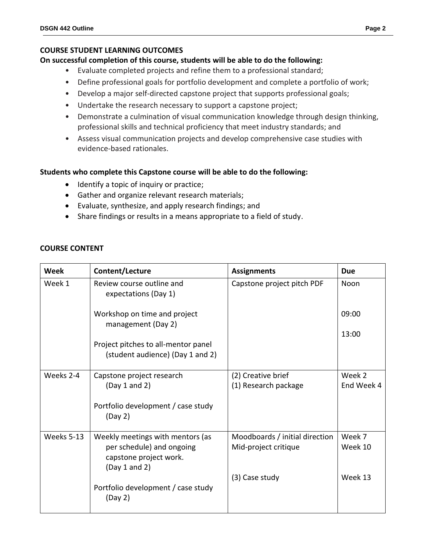### **COURSE STUDENT LEARNING OUTCOMES**

### **On successful completion of this course, students will be able to do the following:**

- Evaluate completed projects and refine them to a professional standard;
- Define professional goals for portfolio development and complete a portfolio of work;
- Develop a major self-directed capstone project that supports professional goals;
- Undertake the research necessary to support a capstone project;
- Demonstrate a culmination of visual communication knowledge through design thinking, professional skills and technical proficiency that meet industry standards; and
- Assess visual communication projects and develop comprehensive case studies with evidence-based rationales.

### **Students who complete this Capstone course will be able to do the following:**

- Identify a topic of inquiry or practice;
- Gather and organize relevant research materials;
- Evaluate, synthesize, and apply research findings; and
- Share findings or results in a means appropriate to a field of study.

### **COURSE CONTENT**

| <b>Week</b> | Content/Lecture                                                         | <b>Assignments</b>             | <b>Due</b> |
|-------------|-------------------------------------------------------------------------|--------------------------------|------------|
| Week 1      | Review course outline and<br>expectations (Day 1)                       | Capstone project pitch PDF     | Noon       |
|             | Workshop on time and project<br>management (Day 2)                      |                                | 09:00      |
|             |                                                                         |                                | 13:00      |
|             | Project pitches to all-mentor panel<br>(student audience) (Day 1 and 2) |                                |            |
| Weeks 2-4   | Capstone project research                                               | (2) Creative brief             | Week 2     |
|             | (Day 1 and 2)                                                           | (1) Research package           | End Week 4 |
|             | Portfolio development / case study<br>(Day 2)                           |                                |            |
| Weeks 5-13  | Weekly meetings with mentors (as                                        | Moodboards / initial direction | Week 7     |
|             | per schedule) and ongoing<br>capstone project work.<br>(Day 1 and 2)    | Mid-project critique           | Week 10    |
|             |                                                                         | (3) Case study                 | Week 13    |
|             | Portfolio development / case study<br>(Day 2)                           |                                |            |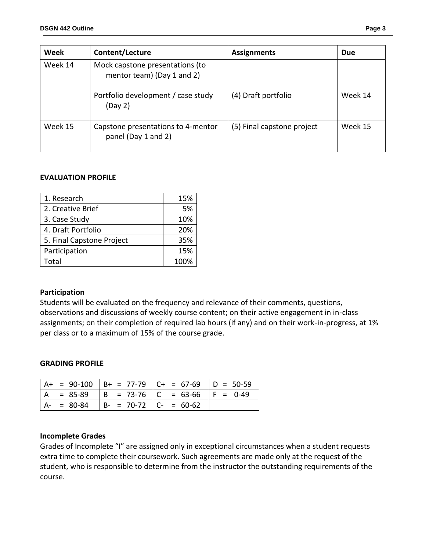| Week                                                                     | Content/Lecture                                           | <b>Assignments</b>         | <b>Due</b> |
|--------------------------------------------------------------------------|-----------------------------------------------------------|----------------------------|------------|
| Week 14<br>Mock capstone presentations (to<br>mentor team) (Day 1 and 2) |                                                           |                            |            |
|                                                                          | Portfolio development / case study<br>(Day 2)             | (4) Draft portfolio        | Week 14    |
| Week 15                                                                  | Capstone presentations to 4-mentor<br>panel (Day 1 and 2) | (5) Final capstone project | Week 15    |

### **EVALUATION PROFILE**

| 1. Research               | 15%  |
|---------------------------|------|
| 2. Creative Brief         | 5%   |
| 3. Case Study             | 10%  |
| 4. Draft Portfolio        | 20%  |
| 5. Final Capstone Project | 35%  |
| Participation             | 15%  |
| Total                     | 100% |

#### **Participation**

Students will be evaluated on the frequency and relevance of their comments, questions, observations and discussions of weekly course content; on their active engagement in in-class assignments; on their completion of required lab hours (if any) and on their work-in-progress, at 1% per class or to a maximum of 15% of the course grade.

#### **GRADING PROFILE**

|  |  |  |                                    | $A+ = 90-100$ $B+ = 77-79$ $C+ = 67-69$ $D = 50-59$ |
|--|--|--|------------------------------------|-----------------------------------------------------|
|  |  |  |                                    | A = 85-89   B = 73-76   C = 63-66   F = 0-49        |
|  |  |  | $A- = 80-84$ B- = 70-72 C- = 60-62 |                                                     |

#### **Incomplete Grades**

Grades of Incomplete "I" are assigned only in exceptional circumstances when a student requests extra time to complete their coursework. Such agreements are made only at the request of the student, who is responsible to determine from the instructor the outstanding requirements of the course.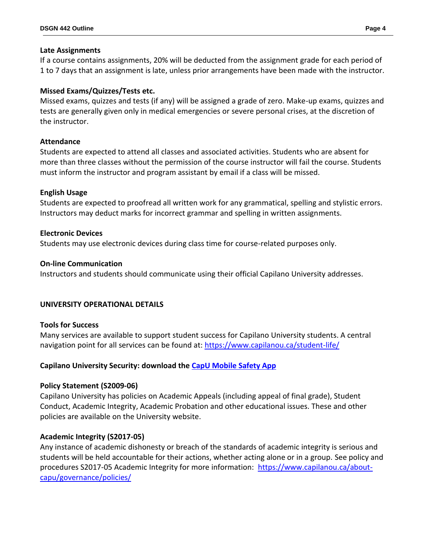### **Late Assignments**

If a course contains assignments, 20% will be deducted from the assignment grade for each period of 1 to 7 days that an assignment is late, unless prior arrangements have been made with the instructor.

## **Missed Exams/Quizzes/Tests etc.**

Missed exams, quizzes and tests (if any) will be assigned a grade of zero. Make-up exams, quizzes and tests are generally given only in medical emergencies or severe personal crises, at the discretion of the instructor.

## **Attendance**

Students are expected to attend all classes and associated activities. Students who are absent for more than three classes without the permission of the course instructor will fail the course. Students must inform the instructor and program assistant by email if a class will be missed.

## **English Usage**

Students are expected to proofread all written work for any grammatical, spelling and stylistic errors. Instructors may deduct marks for incorrect grammar and spelling in written assignments.

## **Electronic Devices**

Students may use electronic devices during class time for course-related purposes only.

## **On-line Communication**

Instructors and students should communicate using their official Capilano University addresses.

# **UNIVERSITY OPERATIONAL DETAILS**

# **Tools for Success**

Many services are available to support student success for Capilano University students. A central navigation point for all services can be found at:<https://www.capilanou.ca/student-life/>

# **Capilano University Security: download the [CapU Mobile Safety App](https://www.capilanou.ca/student-life/support--wellness/safety--security/capu-safe-app/)**

# **Policy Statement (S2009-06)**

Capilano University has policies on Academic Appeals (including appeal of final grade), Student Conduct, Academic Integrity, Academic Probation and other educational issues. These and other policies are available on the University website.

# **Academic Integrity (S2017-05)**

Any instance of academic dishonesty or breach of the standards of academic integrity is serious and students will be held accountable for their actions, whether acting alone or in a group. See policy and procedures S2017-05 Academic Integrity for more information: [https://www.capilanou.ca/about](https://www.capilanou.ca/about-capu/governance/policies/)[capu/governance/policies/](https://www.capilanou.ca/about-capu/governance/policies/)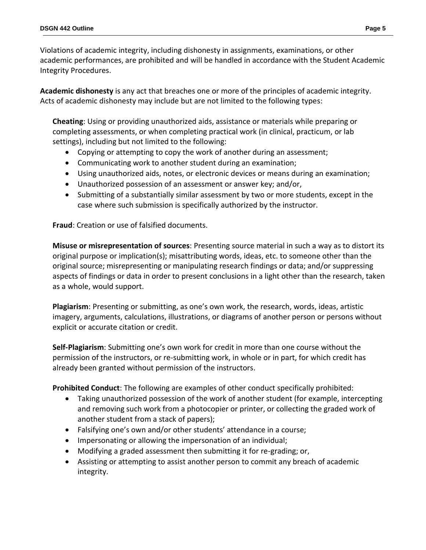Violations of academic integrity, including dishonesty in assignments, examinations, or other academic performances, are prohibited and will be handled in accordance with the Student Academic Integrity Procedures.

**Academic dishonesty** is any act that breaches one or more of the principles of academic integrity. Acts of academic dishonesty may include but are not limited to the following types:

**Cheating**: Using or providing unauthorized aids, assistance or materials while preparing or completing assessments, or when completing practical work (in clinical, practicum, or lab settings), including but not limited to the following:

- Copying or attempting to copy the work of another during an assessment;
- Communicating work to another student during an examination;
- Using unauthorized aids, notes, or electronic devices or means during an examination;
- Unauthorized possession of an assessment or answer key; and/or,
- Submitting of a substantially similar assessment by two or more students, except in the case where such submission is specifically authorized by the instructor.

**Fraud**: Creation or use of falsified documents.

**Misuse or misrepresentation of sources**: Presenting source material in such a way as to distort its original purpose or implication(s); misattributing words, ideas, etc. to someone other than the original source; misrepresenting or manipulating research findings or data; and/or suppressing aspects of findings or data in order to present conclusions in a light other than the research, taken as a whole, would support.

**Plagiarism**: Presenting or submitting, as one's own work, the research, words, ideas, artistic imagery, arguments, calculations, illustrations, or diagrams of another person or persons without explicit or accurate citation or credit.

**Self-Plagiarism**: Submitting one's own work for credit in more than one course without the permission of the instructors, or re-submitting work, in whole or in part, for which credit has already been granted without permission of the instructors.

**Prohibited Conduct**: The following are examples of other conduct specifically prohibited:

- Taking unauthorized possession of the work of another student (for example, intercepting and removing such work from a photocopier or printer, or collecting the graded work of another student from a stack of papers);
- Falsifying one's own and/or other students' attendance in a course;
- Impersonating or allowing the impersonation of an individual;
- Modifying a graded assessment then submitting it for re-grading; or,
- Assisting or attempting to assist another person to commit any breach of academic integrity.